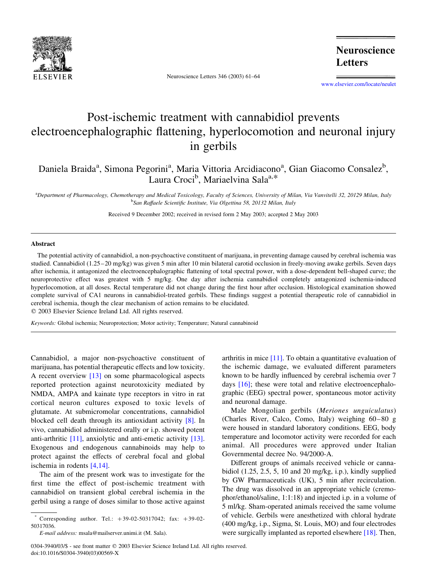

Neuroscience Letters 346 (2003) 61–64

**Neuroscience Letters** 

[www.elsevier.com/locate/neulet](http://www.elsevier.com/locate/neulet)

## Post-ischemic treatment with cannabidiol prevents electroencephalographic flattening, hyperlocomotion and neuronal injury in gerbils

Daniela Braida<sup>a</sup>, Simona Pegorini<sup>a</sup>, Maria Vittoria Arcidiacono<sup>a</sup>, Gian Giacomo Consalez<sup>b</sup>, Laura Croci<sup>b</sup>, Mariaelvina Sala<sup>a,\*</sup>

a<br>
a Department of Pharmacology, Chemotherapy and Medical Toxicology, Faculty of Sciences, University of Milan, Via Vanvitelli 32, 20129 Milan, Italy <sup>b</sup>San Raffaele Scientific Institute, Via Olgettina 58, 20132 Milan, Italy

Received 9 December 2002; received in revised form 2 May 2003; accepted 2 May 2003

## Abstract

The potential activity of cannabidiol, a non-psychoactive constituent of marijuana, in preventing damage caused by cerebral ischemia was studied. Cannabidiol (1.25–20 mg/kg) was given 5 min after 10 min bilateral carotid occlusion in freely-moving awake gerbils. Seven days after ischemia, it antagonized the electroencephalographic flattening of total spectral power, with a dose-dependent bell-shaped curve; the neuroprotective effect was greatest with 5 mg/kg. One day after ischemia cannabidiol completely antagonized ischemia-induced hyperlocomotion, at all doses. Rectal temperature did not change during the first hour after occlusion. Histological examination showed complete survival of CA1 neurons in cannabidiol-treated gerbils. These findings suggest a potential therapeutic role of cannabidiol in cerebral ischemia, though the clear mechanism of action remains to be elucidated.

 $©$  2003 Elsevier Science Ireland Ltd. All rights reserved.

Keywords: Global ischemia; Neuroprotection; Motor activity; Temperature; Natural cannabinoid

Cannabidiol, a major non-psychoactive constituent of marijuana, has potential therapeutic effects and low toxicity. A recent overview [\[13\]](#page-3-0) on some pharmacological aspects reported protection against neurotoxicity mediated by NMDA, AMPA and kainate type receptors in vitro in rat cortical neuron cultures exposed to toxic levels of glutamate. At submicromolar concentrations, cannabidiol blocked cell death through its antioxidant activity [\[8\].](#page-3-0) In vivo, cannabidiol administered orally or i.p. showed potent anti-arthritic [\[11\],](#page-3-0) anxiolytic and anti-emetic activity [\[13\]](#page-3-0). Exogenous and endogenous cannabinoids may help to protect against the effects of cerebral focal and global ischemia in rodents [\[4,14\]](#page-2-0).

The aim of the present work was to investigate for the first time the effect of post-ischemic treatment with cannabidiol on transient global cerebral ischemia in the gerbil using a range of doses similar to those active against arthritis in mice [\[11\]](#page-3-0). To obtain a quantitative evaluation of the ischemic damage, we evaluated different parameters known to be hardly influenced by cerebral ischemia over 7 days [\[16\]](#page-3-0); these were total and relative electroencephalographic (EEG) spectral power, spontaneous motor activity and neuronal damage.

Male Mongolian gerbils (Meriones unguiculatus) (Charles River, Calco, Como, Italy) weighing 60–80 g were housed in standard laboratory conditions. EEG, body temperature and locomotor activity were recorded for each animal. All procedures were approved under Italian Governmental decree No. 94/2000-A.

Different groups of animals received vehicle or cannabidiol  $(1.25, 2.5, 5, 10, \text{ and } 20, \text{ mg/kg}, i.p.),$  kindly supplied by GW Pharmaceuticals (UK), 5 min after recirculation. The drug was dissolved in an appropriate vehicle (cremophor/ethanol/saline, 1:1:18) and injected i.p. in a volume of 5 ml/kg. Sham-operated animals received the same volume of vehicle. Gerbils were anesthetized with chloral hydrate (400 mg/kg, i.p., Sigma, St. Louis, MO) and four electrodes were surgically implanted as reported elsewhere [\[18\].](#page-3-0) Then,

Corresponding author. Tel.:  $+39-02-50317042$ ; fax:  $+39-02-$ 50317036.

E-mail address: msala@mailserver.unimi.it (M. Sala).

<sup>0304-3940/03/\$ -</sup> see front matter © 2003 Elsevier Science Ireland Ltd. All rights reserved. doi:10.1016/S0304-3940(03)00569-X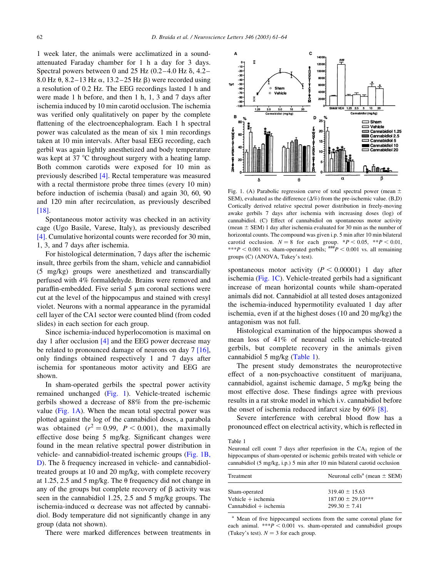1 week later, the animals were acclimatized in a soundattenuated Faraday chamber for 1 h a day for 3 days. Spectral powers between 0 and 25 Hz  $(0.2-4.0 \text{ Hz } \delta, 4.2-$ 8.0 Hz  $\theta$ , 8.2–13 Hz  $\alpha$ , 13.2–25 Hz  $\beta$ ) were recorded using a resolution of 0.2 Hz. The EEG recordings lasted 1 h and were made 1 h before, and then 1 h, 1, 3 and 7 days after ischemia induced by 10 min carotid occlusion. The ischemia was verified only qualitatively on paper by the complete flattening of the electroencephalogram. Each 1 h spectral power was calculated as the mean of six 1 min recordings taken at 10 min intervals. After basal EEG recording, each gerbil was again lightly anesthetized and body temperature was kept at  $37^{\circ}$ C throughout surgery with a heating lamp. Both common carotids were exposed for 10 min as previously described [\[4\]](#page-2-0). Rectal temperature was measured with a rectal thermistore probe three times (every 10 min) before induction of ischemia (basal) and again 30, 60, 90 and 120 min after recirculation, as previously described [\[18\]](#page-3-0).

Spontaneous motor activity was checked in an activity cage (Ugo Basile, Varese, Italy), as previously described [\[4\]](#page-2-0). Cumulative horizontal counts were recorded for 30 min, 1, 3, and 7 days after ischemia.

For histological determination, 7 days after the ischemic insult, three gerbils from the sham, vehicle and cannabidiol (5 mg/kg) groups were anesthetized and transcardially perfused with 4% formaldehyde. Brains were removed and paraffin-embedded. Five serial  $5 \mu m$  coronal sections were cut at the level of the hippocampus and stained with cresyl violet. Neurons with a normal appearance in the pyramidal cell layer of the CA1 sector were counted blind (from coded slides) in each section for each group.

Since ischemia-induced hyperlocomotion is maximal on day 1 after occlusion [\[4\]](#page-2-0) and the EEG power decrease may be related to pronounced damage of neurons on day 7 [\[16\]](#page-3-0). only findings obtained respectively 1 and 7 days after ischemia for spontaneous motor activity and EEG are shown.

In sham-operated gerbils the spectral power activity remained unchanged (Fig. 1). Vehicle-treated ischemic gerbils showed a decrease of 88% from the pre-ischemic value (Fig. 1A). When the mean total spectral power was plotted against the log of the cannabidiol doses, a parabola was obtained  $(r^2 = 0.99, P < 0.001)$ , the maximally effective dose being 5 mg/kg. Significant changes were found in the mean relative spectral power distribution in vehicle- and cannabidiol-treated ischemic groups (Fig. 1B,  $D$ ). The  $\delta$  frequency increased in vehicle- and cannabidioltreated groups at 10 and 20 mg/kg, with complete recovery at 1.25, 2.5 and 5 mg/kg. The  $\theta$  frequency did not change in any of the groups but complete recovery of  $\beta$  activity was seen in the cannabidiol 1.25, 2.5 and 5 mg/kg groups. The ischemia-induced  $\alpha$  decrease was not affected by cannabidiol. Body temperature did not significantly change in any group (data not shown).

There were marked differences between treatments in



Fig. 1. (A) Parabolic regression curve of total spectral power (mean  $\pm$ SEM), evaluated as the difference  $(\Delta\%)$  from the pre-ischemic value. (B,D) Cortically derived relative spectral power distribution in freely-moving awake gerbils 7 days after ischemia with increasing doses (log) of cannabidiol. (C) Effect of cannabidiol on spontaneous motor activity (mean  $\pm$  SEM) 1 day after ischemia evaluated for 30 min as the number of horizontal counts. The compound was given i.p. 5 min after 10 min bilateral carotid occlusion.  $N = 8$  for each group. \* $P < 0.05$ , \*\* $P < 0.01$ , \*\*\*P < 0.001 vs. sham-operated gerbils;  $\frac{4H}{H}P$  < 0.001 vs. all remaining groups (C) (ANOVA, Tukey's test).

spontaneous motor activity ( $P < 0.00001$ ) 1 day after ischemia (Fig. 1C). Vehicle-treated gerbils had a significant increase of mean horizontal counts while sham-operated animals did not. Cannabidiol at all tested doses antagonized the ischemia-induced hypermotility evaluated 1 day after ischemia, even if at the highest doses (10 and 20 mg/kg) the antagonism was not full.

Histological examination of the hippocampus showed a mean loss of 41% of neuronal cells in vehicle-treated gerbils, but complete recovery in the animals given cannabidiol 5 mg/kg (Table 1).

The present study demonstrates the neuroprotective effect of a non-psychoactive constituent of marijuana, cannabidiol, against ischemic damage, 5 mg/kg being the most effective dose. These findings agree with previous results in a rat stroke model in which i.v. cannabidiol before the onset of ischemia reduced infarct size by  $60\%$  [\[8\]](#page-3-0).

Severe interference with cerebral blood flow has a pronounced effect on electrical activity, which is reflected in

Table 1

Neuronal cell count 7 days after reperfusion in the  $CA<sub>1</sub>$  region of the hippocampus of sham-operated or ischemic gerbils treated with vehicle or cannabidiol (5 mg/kg, i.p.) 5 min after 10 min bilateral carotid occlusion

| Treatment                                       | Neuronal cells <sup>a</sup> (mean $\pm$ SEM) |
|-------------------------------------------------|----------------------------------------------|
| Sham-operated                                   | $319.40 \pm 15.63$<br>$187.00 \pm 29.10***$  |
| Vehicle $+$ ischemia<br>$Camabidiol + ischemia$ | $299.30 \pm 7.41$                            |

<sup>a</sup> Mean of five hippocampal sections from the same coronal plane for each animal. \*\*\* $P \le 0.001$  vs. sham-operated and cannabidiol groups (Tukey's test).  $N = 3$  for each group.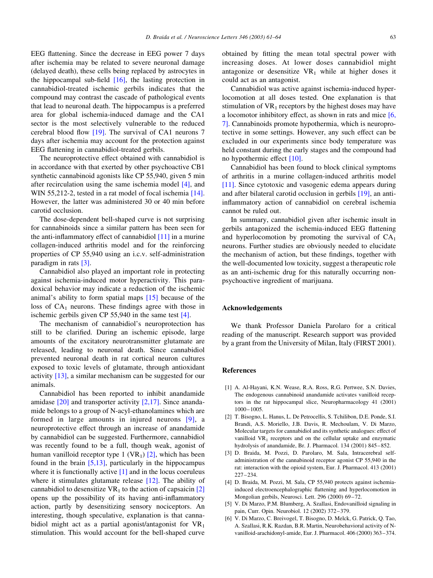<span id="page-2-0"></span>EEG flattening. Since the decrease in EEG power 7 days after ischemia may be related to severe neuronal damage (delayed death), these cells being replaced by astrocytes in the hippocampal sub-field  $[16]$ , the lasting protection in cannabidiol-treated ischemic gerbils indicates that the compound may contrast the cascade of pathological events that lead to neuronal death. The hippocampus is a preferred area for global ischemia-induced damage and the CA1 sector is the most selectively vulnerable to the reduced cerebral blood flow [\[19\].](#page-3-0) The survival of CA1 neurons 7 days after ischemia may account for the protection against EEG flattening in cannabidiol-treated gerbils.

The neuroprotective effect obtained with cannabidiol is in accordance with that exerted by other psychoactive CB1 synthetic cannabinoid agonists like CP 55,940, given 5 min after recirculation using the same ischemia model [4], and WIN 55,212-2, tested in a rat model of focal ischemia [\[14\]](#page-3-0). However, the latter was administered 30 or 40 min before carotid occlusion.

The dose-dependent bell-shaped curve is not surprising for cannabinoids since a similar pattern has been seen for the anti-inflammatory effect of cannabidiol [\[11\]](#page-3-0) in a murine collagen-induced arthritis model and for the reinforcing properties of CP 55,940 using an i.c.v. self-administration paradigm in rats [3].

Cannabidiol also played an important role in protecting against ischemia-induced motor hyperactivity. This paradoxical behavior may indicate a reduction of the ischemic animal's ability to form spatial maps [\[15\]](#page-3-0) because of the loss of  $CA<sub>1</sub>$  neurons. These findings agree with those in ischemic gerbils given CP 55,940 in the same test [4].

The mechanism of cannabidiol's neuroprotection has still to be clarified. During an ischemic episode, large amounts of the excitatory neurotransmitter glutamate are released, leading to neuronal death. Since cannabidiol prevented neuronal death in rat cortical neuron cultures exposed to toxic levels of glutamate, through antioxidant activity [\[13\]](#page-3-0), a similar mechanism can be suggested for our animals.

Cannabidiol has been reported to inhibit anandamide amidase [\[20\]](#page-3-0) and transporter activity [2,17]. Since anandamide belongs to a group of N-acyl-ethanolamines which are formed in large amounts in injured neurons [\[9\],](#page-3-0) a neuroprotective effect through an increase of anandamide by cannabidiol can be suggested. Furthermore, cannabidiol was recently found to be a full, though weak, agonist of human vanilloid receptor type 1 (VR<sub>1</sub>)  $[2]$ , which has been found in the brain  $[5,13]$ , particularly in the hippocampus where it is functionally active [1] and in the locus coeruleus where it stimulates glutamate release [\[12\]](#page-3-0). The ability of cannabidiol to desensitize  $VR_1$  to the action of capsaicin [2] opens up the possibility of its having anti-inflammatory action, partly by desensitizing sensory nociceptors. An interesting, though speculative, explanation is that cannabidiol might act as a partial agonist/antagonist for  $VR<sub>1</sub>$ stimulation. This would account for the bell-shaped curve

obtained by fitting the mean total spectral power with increasing doses. At lower doses cannabidiol might antagonize or desensitize  $VR_1$  while at higher doses it could act as an antagonist.

Cannabidiol was active against ischemia-induced hyperlocomotion at all doses tested. One explanation is that stimulation of  $VR_1$  receptors by the highest doses may have a locomotor inhibitory effect, as shown in rats and mice [6, 7]. Cannabinoids promote hypothermia, which is neuroprotective in some settings. However, any such effect can be excluded in our experiments since body temperature was held constant during the early stages and the compound had no hypothermic effect [\[10\]](#page-3-0).

Cannabidiol has been found to block clinical symptoms of arthritis in a murine collagen-induced arthritis model [\[11\]](#page-3-0). Since cytotoxic and vasogenic edema appears during and after bilateral carotid occlusion in gerbils [\[19\],](#page-3-0) an antiinflammatory action of cannabidiol on cerebral ischemia cannot be ruled out.

In summary, cannabidiol given after ischemic insult in gerbils antagonized the ischemia-induced EEG flattening and hyperlocomotion by promoting the survival of  $CA<sub>1</sub>$ neurons. Further studies are obviously needed to elucidate the mechanism of action, but these findings, together with the well-documented low toxicity, suggest a therapeutic role as an anti-ischemic drug for this naturally occurring nonpsychoactive ingredient of marijuana.

## Acknowledgements

We thank Professor Daniela Parolaro for a critical reading of the manuscript. Research support was provided by a grant from the University of Milan, Italy (FIRST 2001).

## References

- [1] A. Al-Hayani, K.N. Wease, R.A. Ross, R.G. Pertwee, S.N. Davies, The endogenous cannabinoid anandamide activates vanilloid receptors in the rat hippocampal slice, Neuropharmacology 41 (2001) 1000–1005.
- [2] T. Bisogno, L. Hanus, L. De Petrocellis, S. Tchilibon, D.E. Ponde, S.I. Brandi, A.S. Moriello, J.B. Davis, R. Mechoulam, V. Di Marzo, Molecular targets for cannabidiol and its synthetic analogues: effect of vanilloid  $VR_1$  receptors and on the cellular uptake and enzymatic hydrolysis of anandamide, Br. J. Pharmacol. 134 (2001) 845–852.
- [3] D. Braida, M. Pozzi, D. Parolaro, M. Sala, Intracerebral selfadministration of the cannabinoid receptor agonist CP 55,940 in the rat: interaction with the opioid system, Eur. J. Pharmacol. 413 (2001) 227–234.
- [4] D. Braida, M. Pozzi, M. Sala, CP 55,940 protects against ischemiainduced electroencephalographic flattening and hyperlocomotion in Mongolian gerbils, Neurosci. Lett. 296 (2000) 69–72.
- [5] V. Di Marzo, P.M. Blumberg, A. Szallasi, Endovanilloid signaling in pain, Curr. Opin. Neurobiol. 12 (2002) 372–379.
- [6] V. Di Marzo, C. Breivogel, T. Bisogno, D. Melck, G. Patrick, Q. Tao, A. Szallasi, R.K. Razdan, B.R. Martin, Neurobehavioral activity of Nvanilloid-arachidonyl-amide, Eur. J. Pharmacol. 406 (2000) 363–374.